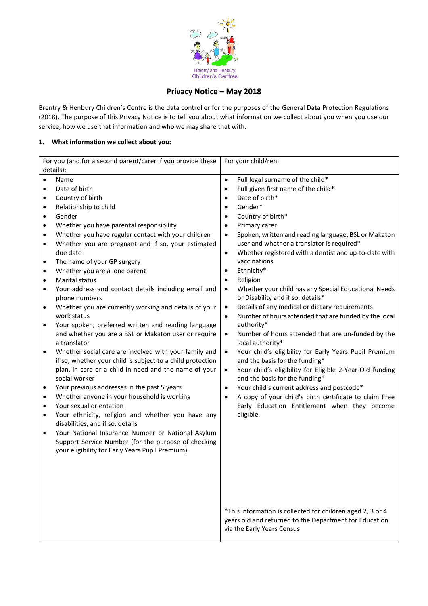

# **Privacy Notice – May 2018**

Brentry & Henbury Children's Centre is the data controller for the purposes of the General Data Protection Regulations (2018). The purpose of this Privacy Notice is to tell you about what information we collect about you when you use our service, how we use that information and who we may share that with.

## **1. What information we collect about you:**

| For you (and for a second parent/carer if you provide these                                                                                                                                                                                                                                                                                                                                                                                                                                                                                                                                                                                                                                                                                                                                                                                                                                                                                                                                                                                                                                                                                                                                                                                                                                                                                                                                                                | For your child/ren:                                                                                                                                                                                                                                                                                                                                                                                                                                                                                                                                                                                                                                                                                                                                                                                                                                                                                                                                                                                                                                                                                                                                                                                                                                          |
|----------------------------------------------------------------------------------------------------------------------------------------------------------------------------------------------------------------------------------------------------------------------------------------------------------------------------------------------------------------------------------------------------------------------------------------------------------------------------------------------------------------------------------------------------------------------------------------------------------------------------------------------------------------------------------------------------------------------------------------------------------------------------------------------------------------------------------------------------------------------------------------------------------------------------------------------------------------------------------------------------------------------------------------------------------------------------------------------------------------------------------------------------------------------------------------------------------------------------------------------------------------------------------------------------------------------------------------------------------------------------------------------------------------------------|--------------------------------------------------------------------------------------------------------------------------------------------------------------------------------------------------------------------------------------------------------------------------------------------------------------------------------------------------------------------------------------------------------------------------------------------------------------------------------------------------------------------------------------------------------------------------------------------------------------------------------------------------------------------------------------------------------------------------------------------------------------------------------------------------------------------------------------------------------------------------------------------------------------------------------------------------------------------------------------------------------------------------------------------------------------------------------------------------------------------------------------------------------------------------------------------------------------------------------------------------------------|
| details):                                                                                                                                                                                                                                                                                                                                                                                                                                                                                                                                                                                                                                                                                                                                                                                                                                                                                                                                                                                                                                                                                                                                                                                                                                                                                                                                                                                                                  |                                                                                                                                                                                                                                                                                                                                                                                                                                                                                                                                                                                                                                                                                                                                                                                                                                                                                                                                                                                                                                                                                                                                                                                                                                                              |
| Name<br>$\bullet$<br>Date of birth<br>$\bullet$<br>Country of birth<br>$\bullet$<br>Relationship to child<br>٠<br>Gender<br>٠<br>Whether you have parental responsibility<br>$\bullet$<br>Whether you have regular contact with your children<br>$\bullet$<br>Whether you are pregnant and if so, your estimated<br>$\bullet$<br>due date<br>The name of your GP surgery<br>$\bullet$<br>Whether you are a lone parent<br>$\bullet$<br>Marital status<br>$\bullet$<br>Your address and contact details including email and<br>٠<br>phone numbers<br>Whether you are currently working and details of your<br>$\bullet$<br>work status<br>Your spoken, preferred written and reading language<br>$\bullet$<br>and whether you are a BSL or Makaton user or require<br>a translator<br>Whether social care are involved with your family and<br>$\bullet$<br>if so, whether your child is subject to a child protection<br>plan, in care or a child in need and the name of your<br>social worker<br>Your previous addresses in the past 5 years<br>$\bullet$<br>Whether anyone in your household is working<br>$\bullet$<br>Your sexual orientation<br>٠<br>Your ethnicity, religion and whether you have any<br>٠<br>disabilities, and if so, details<br>Your National Insurance Number or National Asylum<br>٠<br>Support Service Number (for the purpose of checking<br>your eligibility for Early Years Pupil Premium). | Full legal surname of the child*<br>$\bullet$<br>Full given first name of the child*<br>$\bullet$<br>Date of birth*<br>$\bullet$<br>Gender*<br>$\bullet$<br>Country of birth*<br>$\bullet$<br>Primary carer<br>$\bullet$<br>Spoken, written and reading language, BSL or Makaton<br>$\bullet$<br>user and whether a translator is required*<br>Whether registered with a dentist and up-to-date with<br>$\bullet$<br>vaccinations<br>Ethnicity*<br>$\bullet$<br>Religion<br>$\bullet$<br>Whether your child has any Special Educational Needs<br>$\bullet$<br>or Disability and if so, details*<br>Details of any medical or dietary requirements<br>$\bullet$<br>Number of hours attended that are funded by the local<br>$\bullet$<br>authority*<br>Number of hours attended that are un-funded by the<br>$\bullet$<br>local authority*<br>Your child's eligibility for Early Years Pupil Premium<br>$\bullet$<br>and the basis for the funding*<br>Your child's eligibility for Eligible 2-Year-Old funding<br>$\bullet$<br>and the basis for the funding*<br>Your child's current address and postcode*<br>$\bullet$<br>A copy of your child's birth certificate to claim Free<br>$\bullet$<br>Early Education Entitlement when they become<br>eligible. |
|                                                                                                                                                                                                                                                                                                                                                                                                                                                                                                                                                                                                                                                                                                                                                                                                                                                                                                                                                                                                                                                                                                                                                                                                                                                                                                                                                                                                                            | *This information is collected for children aged 2, 3 or 4<br>years old and returned to the Department for Education<br>via the Early Years Census                                                                                                                                                                                                                                                                                                                                                                                                                                                                                                                                                                                                                                                                                                                                                                                                                                                                                                                                                                                                                                                                                                           |